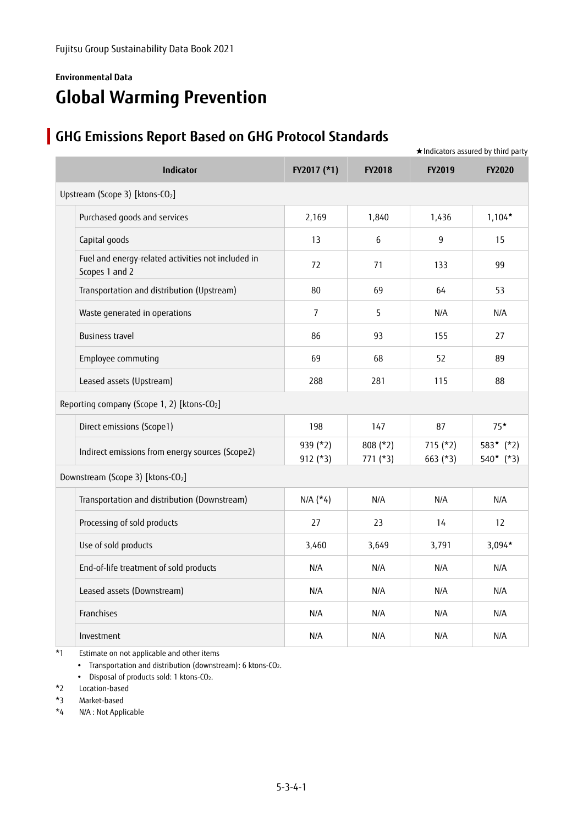### **Environmental Data Global Warming Prevention**

## **GHG Emissions Report Based on GHG Protocol Standards**

|                                                                      |                        |                          |                          | $\star$ Indicators assured by third party |
|----------------------------------------------------------------------|------------------------|--------------------------|--------------------------|-------------------------------------------|
| Indicator                                                            | FY2017 (*1)            | <b>FY2018</b>            | FY2019                   | <b>FY2020</b>                             |
| Upstream (Scope 3) [ktons-CO2]                                       |                        |                          |                          |                                           |
| Purchased goods and services                                         | 2,169                  | 1,840                    | 1,436                    | $1,104*$                                  |
| Capital goods                                                        | 13                     | 6                        | 9                        | 15                                        |
| Fuel and energy-related activities not included in<br>Scopes 1 and 2 | 72                     | 71                       | 133                      | 99                                        |
| Transportation and distribution (Upstream)                           | 80                     | 69                       | 64                       | 53                                        |
| Waste generated in operations                                        | $\overline{7}$         | 5                        | N/A                      | N/A                                       |
| <b>Business travel</b>                                               | 86                     | 93                       | 155                      | 27                                        |
| Employee commuting                                                   | 69                     | 68                       | 52                       | 89                                        |
| Leased assets (Upstream)                                             | 288                    | 281                      | 115                      | 88                                        |
| Reporting company (Scope 1, 2) [ktons-CO <sub>2</sub> ]              |                        |                          |                          |                                           |
| Direct emissions (Scope1)                                            | 198                    | 147                      | 87                       | $75*$                                     |
| Indirect emissions from energy sources (Scope2)                      | 939 (*2)<br>$912$ (*3) | $808$ (*2)<br>$771$ (*3) | $715$ (*2)<br>$663$ (*3) | $583*$ (*2)<br>$540*(*3)$                 |
| Downstream (Scope 3) [ktons-CO <sub>2</sub> ]                        |                        |                          |                          |                                           |
| Transportation and distribution (Downstream)                         | $N/A$ (*4)             | N/A                      | N/A                      | N/A                                       |
| Processing of sold products                                          | 27                     | 23                       | 14                       | 12                                        |
| Use of sold products                                                 | 3,460                  | 3,649                    | 3,791                    | $3,094*$                                  |
| End-of-life treatment of sold products                               | N/A                    | N/A                      | N/A                      | N/A                                       |
| Leased assets (Downstream)                                           | N/A                    | N/A                      | N/A                      | N/A                                       |
| Franchises                                                           | N/A                    | N/A                      | N/A                      | N/A                                       |
| Investment                                                           | N/A                    | N/A                      | N/A                      | N/A                                       |

\*1 Estimate on not applicable and other items

• Transportation and distribution (downstream): 6 ktons-CO2.

Disposal of products sold: 1 ktons-CO2.

\*2 Location-based

\*3 Market-based

\*4 N/A : Not Applicable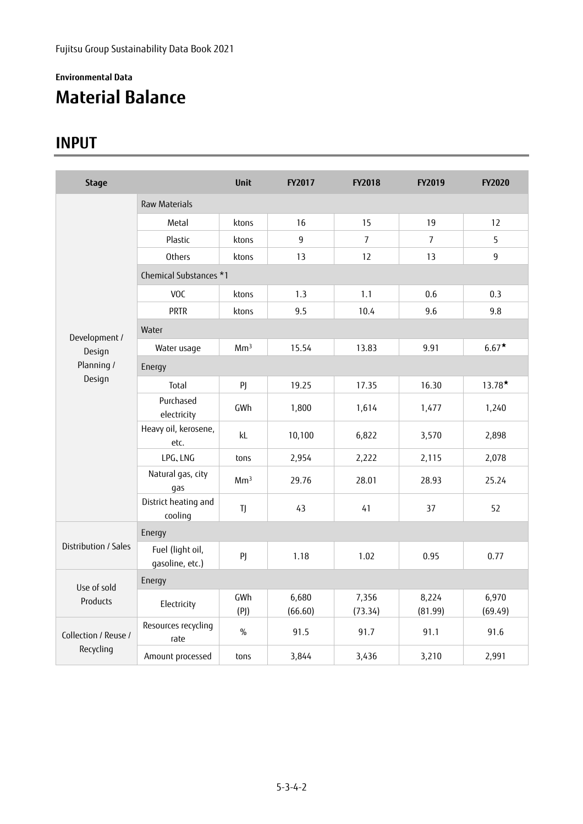## **Environmental Data Material Balance**

## **INPUT**

| <b>Stage</b>         |                                     | <b>Unit</b>     | <b>FY2017</b>    | <b>FY2018</b>    | FY2019           | <b>FY2020</b>    |  |  |  |
|----------------------|-------------------------------------|-----------------|------------------|------------------|------------------|------------------|--|--|--|
|                      | <b>Raw Materials</b>                |                 |                  |                  |                  |                  |  |  |  |
|                      | Metal                               | ktons           | 16               | 15               | 19               | 12               |  |  |  |
|                      | Plastic                             | ktons           | 9                | $\overline{7}$   | $\overline{7}$   | 5                |  |  |  |
|                      | Others                              | ktons           | 13               | 12               | 13               | 9                |  |  |  |
|                      | Chemical Substances *1              |                 |                  |                  |                  |                  |  |  |  |
|                      | VOC                                 | ktons           | 1.3              | 1.1              | 0.6              | 0.3              |  |  |  |
|                      | <b>PRTR</b>                         | ktons           | 9.5              | 10.4             | 9.6              | 9.8              |  |  |  |
| Development /        | Water                               |                 |                  |                  |                  |                  |  |  |  |
| Design               | Water usage                         | Mm <sup>3</sup> | 15.54            | 13.83            | 9.91             | $6.67*$          |  |  |  |
| Planning /           | Energy                              |                 |                  |                  |                  |                  |  |  |  |
| Design               | Total                               | PJ              | 19.25            | 17.35            | 16.30            | $13.78*$         |  |  |  |
|                      | Purchased<br>electricity            | GWh             | 1,800            | 1,614            | 1,477            | 1,240            |  |  |  |
|                      | Heavy oil, kerosene,<br>etc.        | kL              | 10,100           | 6,822            | 3,570            | 2,898            |  |  |  |
|                      | LPG, LNG                            | tons            | 2,954            | 2,222            | 2,115            | 2,078            |  |  |  |
|                      | Natural gas, city<br>gas            | Mm <sup>3</sup> | 29.76            | 28.01            | 28.93            | 25.24            |  |  |  |
|                      | District heating and<br>cooling     | TJ              | 43               | 41               | 37               | 52               |  |  |  |
|                      | Energy                              |                 |                  |                  |                  |                  |  |  |  |
| Distribution / Sales | Fuel (light oil,<br>gasoline, etc.) | PJ              | 1.18             | 1.02             | 0.95             | 0.77             |  |  |  |
| Use of sold          | Energy                              |                 |                  |                  |                  |                  |  |  |  |
| Products             | Electricity                         | GWh<br>(P)      | 6,680<br>(66.60) | 7,356<br>(73.34) | 8,224<br>(81.99) | 6,970<br>(69.49) |  |  |  |
| Collection / Reuse / | Resources recycling<br>rate         | $\%$            | 91.5             | 91.7             | 91.1             | 91.6             |  |  |  |
| Recycling            | Amount processed                    | tons            | 3,844            | 3,436            | 3,210            | 2,991            |  |  |  |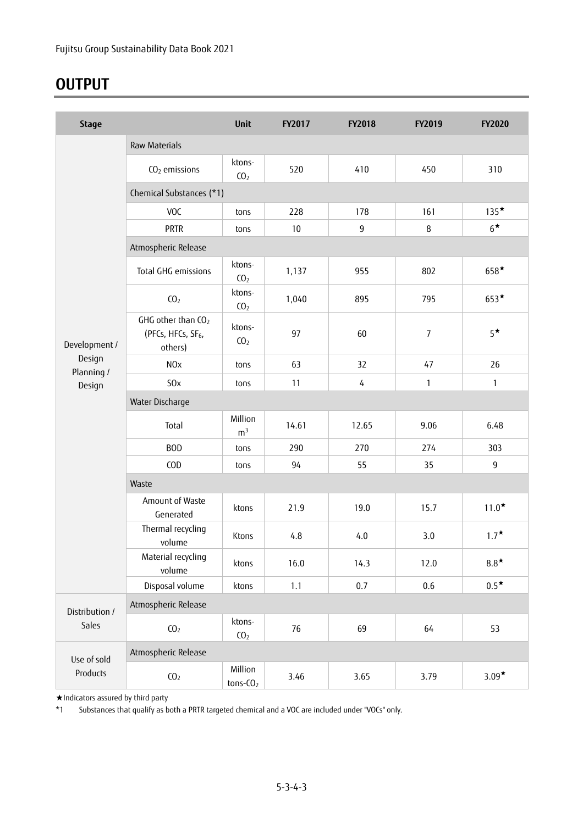## **OUTPUT**

| <b>Stage</b>         |                                                                 | Unit                      | FY2017 | FY2018         | FY2019 | <b>FY2020</b> |  |  |  |  |
|----------------------|-----------------------------------------------------------------|---------------------------|--------|----------------|--------|---------------|--|--|--|--|
|                      | <b>Raw Materials</b>                                            |                           |        |                |        |               |  |  |  |  |
|                      | CO <sub>2</sub> emissions                                       | ktons-<br>CO <sub>2</sub> | 520    | 410            | 450    | 310           |  |  |  |  |
|                      | Chemical Substances (*1)                                        |                           |        |                |        |               |  |  |  |  |
|                      | VOC                                                             | tons                      | 228    | 178            | 161    | $135*$        |  |  |  |  |
|                      | <b>PRTR</b>                                                     | tons                      | 10     | $\overline{9}$ | 8      | $6^{\star}$   |  |  |  |  |
|                      | Atmospheric Release                                             |                           |        |                |        |               |  |  |  |  |
|                      | Total GHG emissions                                             | ktons-<br>CO <sub>2</sub> | 1,137  | 955            | 802    | $658*$        |  |  |  |  |
|                      | CO <sub>2</sub>                                                 | ktons-<br>CO <sub>2</sub> | 1,040  | 895            | 795    | $653*$        |  |  |  |  |
| Development /        | GHG other than CO2<br>(PFCs, HFCs, SF <sub>6</sub> ,<br>others) | ktons-<br>CO <sub>2</sub> | 97     | 60             | 7      | $5^{\star}$   |  |  |  |  |
| Design<br>Planning / | N <sub>O</sub> x                                                | tons                      | 63     | 32             | 47     | 26            |  |  |  |  |
| Design               | S <sub>O</sub> x                                                | tons                      | 11     | $\sqrt{4}$     | 1      | $\mathbf{1}$  |  |  |  |  |
|                      | Water Discharge                                                 |                           |        |                |        |               |  |  |  |  |
|                      | Total                                                           | Million<br>m <sup>3</sup> | 14.61  | 12.65          | 9.06   | 6.48          |  |  |  |  |
|                      | <b>BOD</b>                                                      | tons                      | 290    | 270            | 274    | 303           |  |  |  |  |
|                      | COD                                                             | tons                      | 94     | 55             | 35     | 9             |  |  |  |  |
|                      | Waste                                                           |                           |        |                |        |               |  |  |  |  |
|                      | Amount of Waste<br>Generated                                    | ktons                     | 21.9   | 19.0           | 15.7   | $11.0*$       |  |  |  |  |
|                      | Thermal recycling<br>volume                                     | Ktons                     | 4.8    | 4.0            | 3.0    | $1.7^{\star}$ |  |  |  |  |
|                      | Material recycling<br>volume                                    | ktons                     | 16.0   | 14.3           | 12.0   | $8.8*$        |  |  |  |  |
|                      | Disposal volume                                                 | ktons                     | 1.1    | 0.7            | 0.6    | $0.5^{\star}$ |  |  |  |  |
| Distribution /       | Atmospheric Release                                             |                           |        |                |        |               |  |  |  |  |
| Sales                | CO <sub>2</sub>                                                 | ktons-<br>CO <sub>2</sub> | 76     | 69             | 64     | 53            |  |  |  |  |
| Use of sold          | Atmospheric Release                                             |                           |        |                |        |               |  |  |  |  |
| Products             | CO <sub>2</sub>                                                 | Million<br>$tons-CO2$     | 3.46   | 3.65           | 3.79   | $3.09*$       |  |  |  |  |

★Indicators assured by third party

\*1 Substances that qualify as both a PRTR targeted chemical and a VOC are included under "VOCs" only.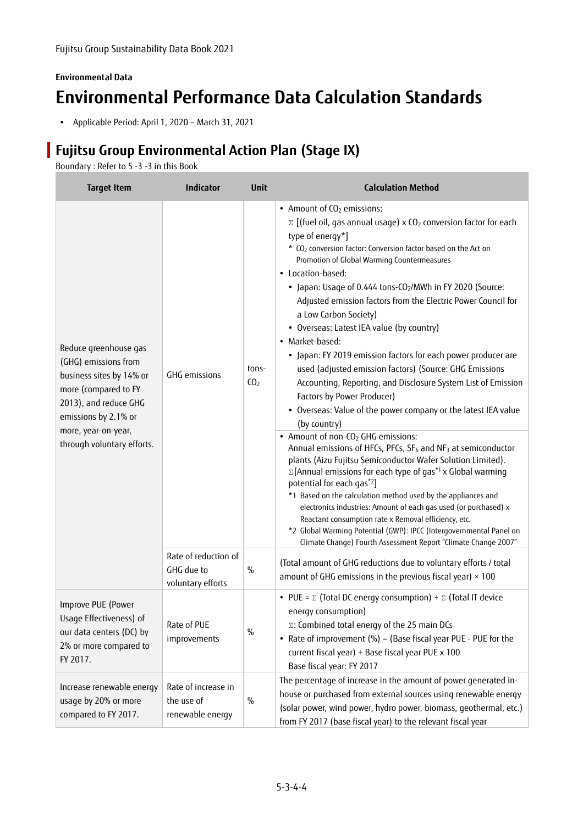### **Environmental Data Environmental Performance Data Calculation Standards**

Applicable Period: April 1, 2020 – March 31, 2021

### **Fujitsu Group Environmental Action Plan (Stage IX)**

Boundary : Refer to 5 -3 -3 in this Book

| <b>Target Item</b>                                                                                                                                                                                      | Indicator                                               | <b>Unit</b>              | <b>Calculation Method</b>                                                                                                                                                                                                                                                                                                                                                                                                                                                                                                                                                                                                                                                                                                                                                                                                                                                                                                                                                                                                                                                                                                                                                                                                                                                                                                                                                                                                                                                                                         |
|---------------------------------------------------------------------------------------------------------------------------------------------------------------------------------------------------------|---------------------------------------------------------|--------------------------|-------------------------------------------------------------------------------------------------------------------------------------------------------------------------------------------------------------------------------------------------------------------------------------------------------------------------------------------------------------------------------------------------------------------------------------------------------------------------------------------------------------------------------------------------------------------------------------------------------------------------------------------------------------------------------------------------------------------------------------------------------------------------------------------------------------------------------------------------------------------------------------------------------------------------------------------------------------------------------------------------------------------------------------------------------------------------------------------------------------------------------------------------------------------------------------------------------------------------------------------------------------------------------------------------------------------------------------------------------------------------------------------------------------------------------------------------------------------------------------------------------------------|
| Reduce greenhouse gas<br>(GHG) emissions from<br>business sites by 14% or<br>more (compared to FY<br>2013), and reduce GHG<br>emissions by 2.1% or<br>more, year-on-year,<br>through voluntary efforts. | GHG emissions                                           | tons-<br>CO <sub>2</sub> | • Amount of CO <sub>2</sub> emissions:<br>$\Sigma$ [(fuel oil, gas annual usage) x CO <sub>2</sub> conversion factor for each<br>type of energy*]<br>* CO <sub>2</sub> conversion factor: Conversion factor based on the Act on<br>Promotion of Global Warming Countermeasures<br>• Location-based:<br>• Japan: Usage of 0.444 tons-CO <sub>2</sub> /MWh in FY 2020 (Source:<br>Adjusted emission factors from the Electric Power Council for<br>a Low Carbon Society)<br>• Overseas: Latest IEA value (by country)<br>• Market-based:<br>• Japan: FY 2019 emission factors for each power producer are<br>used (adjusted emission factors) (Source: GHG Emissions<br>Accounting, Reporting, and Disclosure System List of Emission<br>Factors by Power Producer)<br>• Overseas: Value of the power company or the latest IEA value<br>(by country)<br>• Amount of non-CO <sub>2</sub> GHG emissions:<br>Annual emissions of HFCs, PFCs, SF <sub>6</sub> and NF <sub>3</sub> at semiconductor<br>plants (Aizu Fujitsu Semiconductor Wafer Solution Limited).<br>$\Sigma$ [Annual emissions for each type of gas <sup>*1</sup> x Global warming<br>potential for each gas*2]<br>*1 Based on the calculation method used by the appliances and<br>electronics industries: Amount of each gas used (or purchased) x<br>Reactant consumption rate x Removal efficiency, etc.<br>*2 Global Warming Potential (GWP): IPCC (Intergovernmental Panel on<br>Climate Change) Fourth Assessment Report "Climate Change 2007" |
|                                                                                                                                                                                                         | Rate of reduction of<br>GHG due to<br>voluntary efforts | $\%$                     | (Total amount of GHG reductions due to voluntary efforts / total<br>amount of GHG emissions in the previous fiscal year) $\times$ 100                                                                                                                                                                                                                                                                                                                                                                                                                                                                                                                                                                                                                                                                                                                                                                                                                                                                                                                                                                                                                                                                                                                                                                                                                                                                                                                                                                             |
| Improve PUE (Power<br>Usage Effectiveness) of<br>our data centers (DC) by<br>2% or more compared to<br>FY 2017.                                                                                         | Rate of PUE<br>improvements                             | $\frac{0}{0}$            | • PUE = $\Sigma$ (Total DC energy consumption) ÷ $\Sigma$ (Total IT device<br>energy consumption)<br>Σ: Combined total energy of the 25 main DCs<br>• Rate of improvement (%) = (Base fiscal year PUE - PUE for the<br>current fiscal year) ÷ Base fiscal year PUE x 100<br>Base fiscal year: FY 2017                                                                                                                                                                                                                                                                                                                                                                                                                                                                                                                                                                                                                                                                                                                                                                                                                                                                                                                                                                                                                                                                                                                                                                                                             |
| Increase renewable energy<br>usage by 20% or more<br>compared to FY 2017.                                                                                                                               | Rate of increase in<br>the use of<br>renewable energy   | $\%$                     | The percentage of increase in the amount of power generated in-<br>house or purchased from external sources using renewable energy<br>(solar power, wind power, hydro power, biomass, geothermal, etc.)<br>from FY 2017 (base fiscal year) to the relevant fiscal year                                                                                                                                                                                                                                                                                                                                                                                                                                                                                                                                                                                                                                                                                                                                                                                                                                                                                                                                                                                                                                                                                                                                                                                                                                            |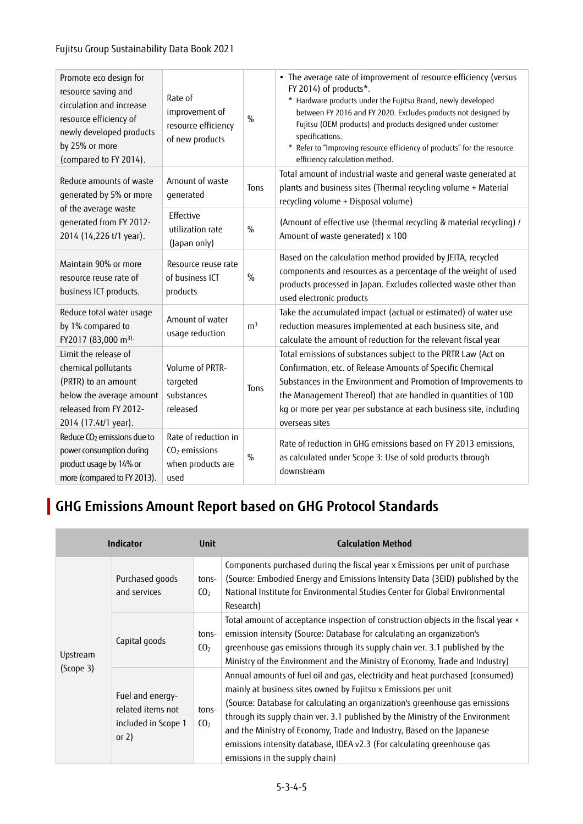| Promote eco design for<br>resource saving and<br>circulation and increase<br>resource efficiency of<br>newly developed products<br>by 25% or more<br>(compared to FY 2014). | Rate of<br>improvement of<br>resource efficiency<br>of new products  | $\frac{0}{0}$  | • The average rate of improvement of resource efficiency (versus<br>FY 2014) of products*.<br>* Hardware products under the Fujitsu Brand, newly developed<br>between FY 2016 and FY 2020. Excludes products not designed by<br>Fujitsu (OEM products) and products designed under customer<br>specifications.<br>* Refer to "Improving resource efficiency of products" for the resource<br>efficiency calculation method. |
|-----------------------------------------------------------------------------------------------------------------------------------------------------------------------------|----------------------------------------------------------------------|----------------|-----------------------------------------------------------------------------------------------------------------------------------------------------------------------------------------------------------------------------------------------------------------------------------------------------------------------------------------------------------------------------------------------------------------------------|
| Reduce amounts of waste<br>generated by 5% or more                                                                                                                          | Amount of waste<br>generated                                         | Tons           | Total amount of industrial waste and general waste generated at<br>plants and business sites (Thermal recycling volume + Material<br>recycling volume + Disposal volume)                                                                                                                                                                                                                                                    |
| of the average waste<br>generated from FY 2012-<br>2014 (14,226 t/1 year).                                                                                                  | Effective<br>utilization rate<br>(Japan only)                        | $\%$           | (Amount of effective use (thermal recycling & material recycling) /<br>Amount of waste generated) x 100                                                                                                                                                                                                                                                                                                                     |
| Maintain 90% or more<br>resource reuse rate of<br>business ICT products.                                                                                                    | Resource reuse rate<br>of business ICT<br>products                   | $\%$           | Based on the calculation method provided by JEITA, recycled<br>components and resources as a percentage of the weight of used<br>products processed in Japan. Excludes collected waste other than<br>used electronic products                                                                                                                                                                                               |
| Reduce total water usage<br>by 1% compared to<br>FY2017 (83,000 m <sup>3).</sup>                                                                                            | Amount of water<br>usage reduction                                   | m <sup>3</sup> | Take the accumulated impact (actual or estimated) of water use<br>reduction measures implemented at each business site, and<br>calculate the amount of reduction for the relevant fiscal year                                                                                                                                                                                                                               |
| Limit the release of<br>chemical pollutants<br>(PRTR) to an amount<br>below the average amount<br>released from FY 2012-<br>2014 (17.4t/1 year).                            | Volume of PRTR-<br>targeted<br>substances<br>released                | Tons           | Total emissions of substances subject to the PRTR Law (Act on<br>Confirmation, etc. of Release Amounts of Specific Chemical<br>Substances in the Environment and Promotion of Improvements to<br>the Management Thereof) that are handled in quantities of 100<br>kg or more per year per substance at each business site, including<br>overseas sites                                                                      |
| Reduce CO <sub>2</sub> emissions due to<br>power consumption during<br>product usage by 14% or<br>more (compared to FY 2013).                                               | Rate of reduction in<br>$CO2$ emissions<br>when products are<br>used | $\%$           | Rate of reduction in GHG emissions based on FY 2013 emissions,<br>as calculated under Scope 3: Use of sold products through<br>downstream                                                                                                                                                                                                                                                                                   |

## **GHG Emissions Amount Report based on GHG Protocol Standards**

|           | Indicator                                                                                           | <b>Unit</b>              | <b>Calculation Method</b>                                                                                                                                                                                                                                                                                                                                                                                                                                                                                |
|-----------|-----------------------------------------------------------------------------------------------------|--------------------------|----------------------------------------------------------------------------------------------------------------------------------------------------------------------------------------------------------------------------------------------------------------------------------------------------------------------------------------------------------------------------------------------------------------------------------------------------------------------------------------------------------|
|           | Purchased goods<br>and services                                                                     | tons-<br>CO <sub>2</sub> | Components purchased during the fiscal year x Emissions per unit of purchase<br>(Source: Embodied Energy and Emissions Intensity Data (3EID) published by the<br>National Institute for Environmental Studies Center for Global Environmental<br>Research)                                                                                                                                                                                                                                               |
| Upstream  | Capital goods                                                                                       | tons-<br>CO <sub>2</sub> | Total amount of acceptance inspection of construction objects in the fiscal year x<br>emission intensity (Source: Database for calculating an organization's<br>greenhouse gas emissions through its supply chain ver. 3.1 published by the<br>Ministry of the Environment and the Ministry of Economy, Trade and Industry)                                                                                                                                                                              |
| (Scope 3) | Fuel and energy-<br>related items not<br>tons-<br>CO <sub>2</sub><br>included in Scope 1<br>or $2)$ |                          | Annual amounts of fuel oil and gas, electricity and heat purchased (consumed)<br>mainly at business sites owned by Fujitsu x Emissions per unit<br>(Source: Database for calculating an organization's greenhouse gas emissions<br>through its supply chain ver. 3.1 published by the Ministry of the Environment<br>and the Ministry of Economy, Trade and Industry, Based on the Japanese<br>emissions intensity database, IDEA v2.3 (For calculating greenhouse gas<br>emissions in the supply chain) |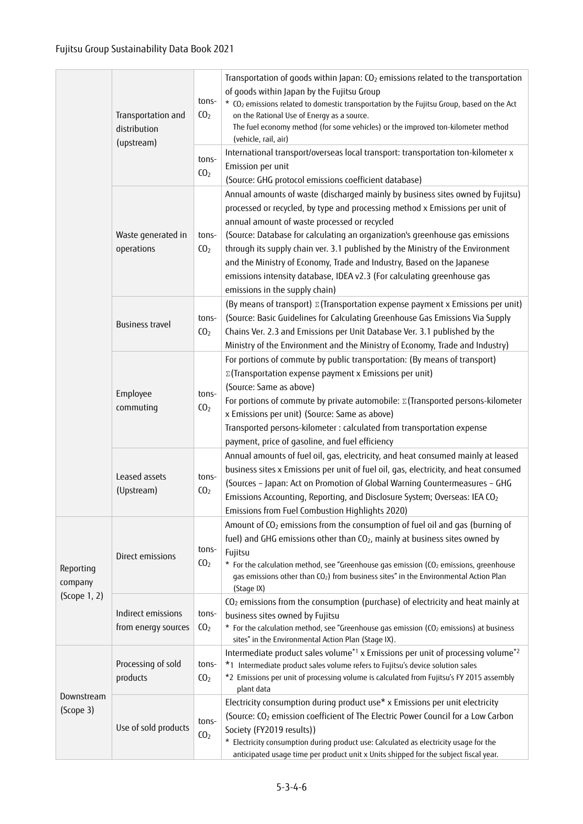|                                      | Transportation and<br>distribution<br>(upstream)           | tons-<br>CO <sub>2</sub><br>tons-<br>CO <sub>2</sub> | Transportation of goods within Japan: $CO2$ emissions related to the transportation<br>of goods within Japan by the Fujitsu Group<br>* CO <sub>2</sub> emissions related to domestic transportation by the Fujitsu Group, based on the Act<br>on the Rational Use of Energy as a source.<br>The fuel economy method (for some vehicles) or the improved ton-kilometer method<br>(vehicle, rail, air)<br>International transport/overseas local transport: transportation ton-kilometer x<br>Emission per unit                                                                                                                    |
|--------------------------------------|------------------------------------------------------------|------------------------------------------------------|----------------------------------------------------------------------------------------------------------------------------------------------------------------------------------------------------------------------------------------------------------------------------------------------------------------------------------------------------------------------------------------------------------------------------------------------------------------------------------------------------------------------------------------------------------------------------------------------------------------------------------|
|                                      | Waste generated in<br>operations                           | tons-<br>CO <sub>2</sub>                             | (Source: GHG protocol emissions coefficient database)<br>Annual amounts of waste (discharged mainly by business sites owned by Fujitsu)<br>processed or recycled, by type and processing method x Emissions per unit of<br>annual amount of waste processed or recycled<br>(Source: Database for calculating an organization's greenhouse gas emissions<br>through its supply chain ver. 3.1 published by the Ministry of the Environment<br>and the Ministry of Economy, Trade and Industry, Based on the Japanese<br>emissions intensity database, IDEA v2.3 (For calculating greenhouse gas<br>emissions in the supply chain) |
|                                      | <b>Business travel</b>                                     | tons-<br>CO <sub>2</sub>                             | (By means of transport) $\Sigma$ (Transportation expense payment x Emissions per unit)<br>(Source: Basic Guidelines for Calculating Greenhouse Gas Emissions Via Supply<br>Chains Ver. 2.3 and Emissions per Unit Database Ver. 3.1 published by the<br>Ministry of the Environment and the Ministry of Economy, Trade and Industry)                                                                                                                                                                                                                                                                                             |
|                                      | Employee<br>tons-<br>commuting<br>CO <sub>2</sub>          |                                                      | For portions of commute by public transportation: (By means of transport)<br><b>E</b> (Transportation expense payment x Emissions per unit)<br>(Source: Same as above)<br>For portions of commute by private automobile: $\Sigma$ (Transported persons-kilometer<br>x Emissions per unit) (Source: Same as above)<br>Transported persons-kilometer : calculated from transportation expense<br>payment, price of gasoline, and fuel efficiency                                                                                                                                                                                   |
|                                      | Leased assets<br>(Upstream)                                | tons-<br>CO <sub>2</sub>                             | Annual amounts of fuel oil, gas, electricity, and heat consumed mainly at leased<br>business sites x Emissions per unit of fuel oil, gas, electricity, and heat consumed<br>(Sources - Japan: Act on Promotion of Global Warning Countermeasures - GHG<br>Emissions Accounting, Reporting, and Disclosure System; Overseas: IEA CO <sub>2</sub><br>Emissions from Fuel Combustion Highlights 2020)                                                                                                                                                                                                                               |
| Reporting<br>company<br>(Scope 1, 2) | Direct emissions                                           | tons-<br>CO <sub>2</sub>                             | Amount of $CO2$ emissions from the consumption of fuel oil and gas (burning of<br>fuel) and GHG emissions other than CO <sub>2</sub> , mainly at business sites owned by<br>Fujitsu<br>* For the calculation method, see "Greenhouse gas emission (CO <sub>2</sub> emissions, greenhouse<br>gas emissions other than CO <sub>2</sub> ) from business sites" in the Environmental Action Plan<br>(Stage IX)                                                                                                                                                                                                                       |
|                                      | Indirect emissions<br>from energy sources                  | tons-<br>CO <sub>2</sub>                             | CO <sub>2</sub> emissions from the consumption (purchase) of electricity and heat mainly at<br>business sites owned by Fujitsu<br>* For the calculation method, see "Greenhouse gas emission (CO <sub>2</sub> emissions) at business<br>sites" in the Environmental Action Plan (Stage IX).                                                                                                                                                                                                                                                                                                                                      |
|                                      | Processing of sold<br>tons-<br>products<br>CO <sub>2</sub> |                                                      | Intermediate product sales volume <sup>*1</sup> x Emissions per unit of processing volume <sup>*2</sup><br>*1 Intermediate product sales volume refers to Fujitsu's device solution sales<br>*2 Emissions per unit of processing volume is calculated from Fujitsu's FY 2015 assembly<br>plant data                                                                                                                                                                                                                                                                                                                              |
| Downstream<br>(Scope 3)              | Use of sold products                                       | tons-<br>CO <sub>2</sub>                             | Electricity consumption during product use* x Emissions per unit electricity<br>(Source: CO <sub>2</sub> emission coefficient of The Electric Power Council for a Low Carbon<br>Society (FY2019 results))<br>* Electricity consumption during product use: Calculated as electricity usage for the<br>anticipated usage time per product unit x Units shipped for the subject fiscal year.                                                                                                                                                                                                                                       |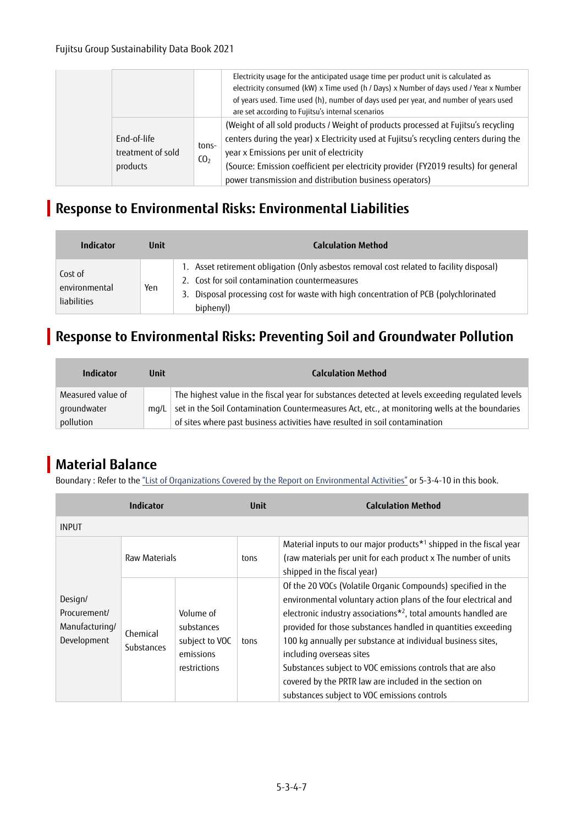|                                              |                          | Electricity usage for the anticipated usage time per product unit is calculated as<br>electricity consumed (kW) x Time used (h / Days) x Number of days used / Year x Number<br>of years used. Time used (h), number of days used per year, and number of years used<br>are set according to Fujitsu's internal scenarios                                                 |
|----------------------------------------------|--------------------------|---------------------------------------------------------------------------------------------------------------------------------------------------------------------------------------------------------------------------------------------------------------------------------------------------------------------------------------------------------------------------|
| End-of-life<br>treatment of sold<br>products | tons-<br>CO <sub>2</sub> | (Weight of all sold products / Weight of products processed at Fujitsu's recycling<br>centers during the year) x Electricity used at Fujitsu's recycling centers during the<br>year x Emissions per unit of electricity<br>(Source: Emission coefficient per electricity provider (FY2019 results) for general<br>power transmission and distribution business operators) |

### **Response to Environmental Risks: Environmental Liabilities**

| <b>Indicator</b>                               | Unit | <b>Calculation Method</b>                                                                                                                                                                                                                        |
|------------------------------------------------|------|--------------------------------------------------------------------------------------------------------------------------------------------------------------------------------------------------------------------------------------------------|
| Cost of<br>environmental<br><b>liabilities</b> | Yen  | 1. Asset retirement obligation (Only asbestos removal cost related to facility disposal)<br>2. Cost for soil contamination countermeasures<br>3. Disposal processing cost for waste with high concentration of PCB (polychlorinated<br>biphenyl) |

### **Response to Environmental Risks: Preventing Soil and Groundwater Pollution**

| Indicator                        | Unit | <b>Calculation Method</b>                                                                                                                                                                           |
|----------------------------------|------|-----------------------------------------------------------------------------------------------------------------------------------------------------------------------------------------------------|
| Measured value of<br>groundwater | ma/L | The highest value in the fiscal year for substances detected at levels exceeding regulated levels<br>set in the Soil Contamination Countermeasures Act, etc., at monitoring wells at the boundaries |
| pollution                        |      | of sites where past business activities have resulted in soil contamination                                                                                                                         |

## **Material Balance**

Boundary : Refer to the ["List of Organizations Covered by the Report on Environmental Activities"](https://www.fujitsu.com/global/about/environment/organization/) or 5-3-4-10 in this book.

|                                                          | <b>Indicator</b>              |                                                                        | <b>Unit</b> | <b>Calculation Method</b>                                                                                                                                                                                                                                                                                                                                                                                                                                                                                                                         |
|----------------------------------------------------------|-------------------------------|------------------------------------------------------------------------|-------------|---------------------------------------------------------------------------------------------------------------------------------------------------------------------------------------------------------------------------------------------------------------------------------------------------------------------------------------------------------------------------------------------------------------------------------------------------------------------------------------------------------------------------------------------------|
| <b>INPUT</b>                                             |                               |                                                                        |             |                                                                                                                                                                                                                                                                                                                                                                                                                                                                                                                                                   |
|                                                          | Raw Materials                 |                                                                        | tons        | Material inputs to our major products <sup>*1</sup> shipped in the fiscal year<br>(raw materials per unit for each product x The number of units<br>shipped in the fiscal year)                                                                                                                                                                                                                                                                                                                                                                   |
| Design/<br>Procurement/<br>Manufacturing/<br>Development | Chemical<br><b>Substances</b> | Volume of<br>substances<br>subject to VOC<br>emissions<br>restrictions | tons        | Of the 20 VOCs (Volatile Organic Compounds) specified in the<br>environmental voluntary action plans of the four electrical and<br>electronic industry associations <sup>*2</sup> , total amounts handled are<br>provided for those substances handled in quantities exceeding<br>100 kg annually per substance at individual business sites,<br>including overseas sites<br>Substances subject to VOC emissions controls that are also<br>covered by the PRTR law are included in the section on<br>substances subject to VOC emissions controls |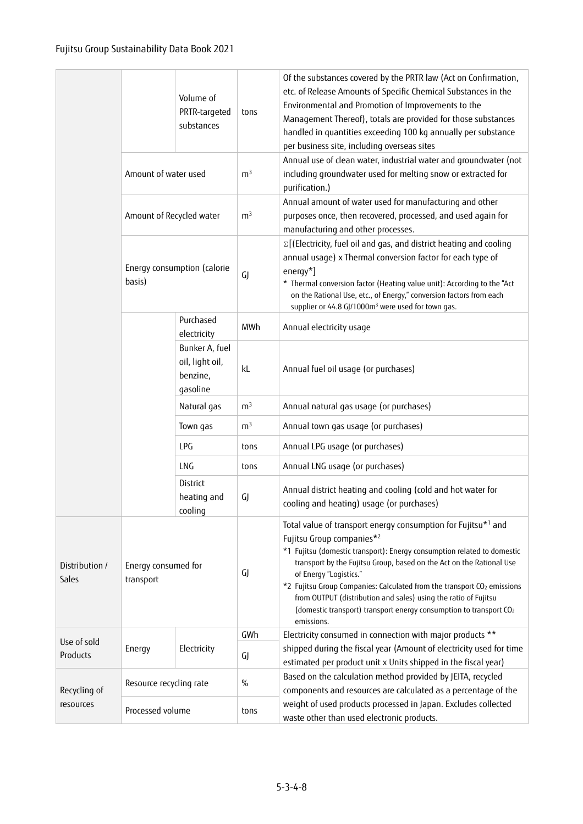|                         |                                  | Volume of<br>PRTR-targeted<br>substances                  | tons           | Of the substances covered by the PRTR law (Act on Confirmation,<br>etc. of Release Amounts of Specific Chemical Substances in the<br>Environmental and Promotion of Improvements to the<br>Management Thereof), totals are provided for those substances<br>handled in quantities exceeding 100 kg annually per substance<br>per business site, including overseas sites                                                                                                                                                          |
|-------------------------|----------------------------------|-----------------------------------------------------------|----------------|-----------------------------------------------------------------------------------------------------------------------------------------------------------------------------------------------------------------------------------------------------------------------------------------------------------------------------------------------------------------------------------------------------------------------------------------------------------------------------------------------------------------------------------|
|                         | Amount of water used             |                                                           | m <sup>3</sup> | Annual use of clean water, industrial water and groundwater (not<br>including groundwater used for melting snow or extracted for<br>purification.)                                                                                                                                                                                                                                                                                                                                                                                |
|                         | Amount of Recycled water         |                                                           | m <sup>3</sup> | Annual amount of water used for manufacturing and other<br>purposes once, then recovered, processed, and used again for<br>manufacturing and other processes.                                                                                                                                                                                                                                                                                                                                                                     |
|                         | basis)                           | Energy consumption (calorie                               | GJ             | $\Sigma$ [(Electricity, fuel oil and gas, and district heating and cooling<br>annual usage) x Thermal conversion factor for each type of<br>$energy*$ ]<br>* Thermal conversion factor (Heating value unit): According to the "Act<br>on the Rational Use, etc., of Energy," conversion factors from each<br>supplier or 44.8 GJ/1000m <sup>3</sup> were used for town gas.                                                                                                                                                       |
|                         |                                  | Purchased<br>electricity                                  | MWh            | Annual electricity usage                                                                                                                                                                                                                                                                                                                                                                                                                                                                                                          |
|                         |                                  | Bunker A, fuel<br>oil, light oil,<br>benzine,<br>gasoline | kL             | Annual fuel oil usage (or purchases)                                                                                                                                                                                                                                                                                                                                                                                                                                                                                              |
|                         |                                  | Natural gas                                               | m <sup>3</sup> | Annual natural gas usage (or purchases)                                                                                                                                                                                                                                                                                                                                                                                                                                                                                           |
|                         |                                  | Town gas                                                  | m <sup>3</sup> | Annual town gas usage (or purchases)                                                                                                                                                                                                                                                                                                                                                                                                                                                                                              |
|                         |                                  | LPG                                                       | tons           | Annual LPG usage (or purchases)                                                                                                                                                                                                                                                                                                                                                                                                                                                                                                   |
|                         |                                  | LNG                                                       | tons           | Annual LNG usage (or purchases)                                                                                                                                                                                                                                                                                                                                                                                                                                                                                                   |
|                         |                                  | <b>District</b><br>heating and<br>cooling                 | GJ             | Annual district heating and cooling (cold and hot water for<br>cooling and heating) usage (or purchases)                                                                                                                                                                                                                                                                                                                                                                                                                          |
| Distribution /<br>Sales | Energy consumed for<br>transport |                                                           | GJ             | Total value of transport energy consumption for Fujitsu*1 and<br>Fujitsu Group companies*2<br>*1 Fujitsu (domestic transport): Energy consumption related to domestic<br>transport by the Fujitsu Group, based on the Act on the Rational Use<br>of Energy "Logistics."<br>*2 Fujitsu Group Companies: Calculated from the transport CO <sub>2</sub> emissions<br>from OUTPUT (distribution and sales) using the ratio of Fujitsu<br>(domestic transport) transport energy consumption to transport CO <sub>2</sub><br>emissions. |
| Use of sold             |                                  |                                                           | GWh            | Electricity consumed in connection with major products **                                                                                                                                                                                                                                                                                                                                                                                                                                                                         |
| Products                | Energy                           | Electricity                                               | GJ             | shipped during the fiscal year (Amount of electricity used for time<br>estimated per product unit x Units shipped in the fiscal year)                                                                                                                                                                                                                                                                                                                                                                                             |
| Recycling of            | Resource recycling rate          |                                                           | $\%$           | Based on the calculation method provided by JEITA, recycled<br>components and resources are calculated as a percentage of the                                                                                                                                                                                                                                                                                                                                                                                                     |
| resources               | Processed volume                 |                                                           | tons           | weight of used products processed in Japan. Excludes collected<br>waste other than used electronic products.                                                                                                                                                                                                                                                                                                                                                                                                                      |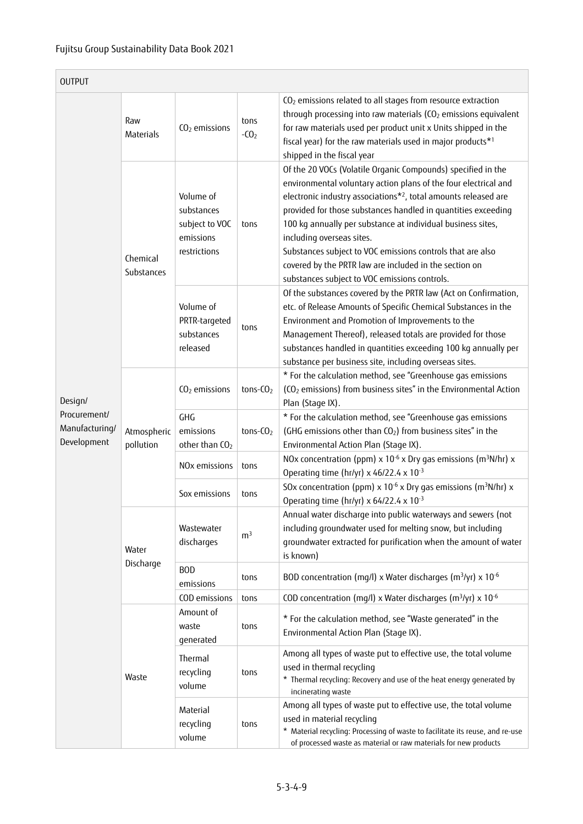| <b>OUTPUT</b>                                 |                          |                                                                        |                |                                                                                                                                                                                                                                                                                                                                                                                                                                                                                                                                                      |
|-----------------------------------------------|--------------------------|------------------------------------------------------------------------|----------------|------------------------------------------------------------------------------------------------------------------------------------------------------------------------------------------------------------------------------------------------------------------------------------------------------------------------------------------------------------------------------------------------------------------------------------------------------------------------------------------------------------------------------------------------------|
|                                               | Raw<br>Materials         | $CO2$ emissions                                                        | tons<br>$-CO2$ | CO <sub>2</sub> emissions related to all stages from resource extraction<br>through processing into raw materials (CO <sub>2</sub> emissions equivalent<br>for raw materials used per product unit x Units shipped in the<br>fiscal year) for the raw materials used in major products*1<br>shipped in the fiscal year                                                                                                                                                                                                                               |
|                                               | Chemical<br>Substances   | Volume of<br>substances<br>subject to VOC<br>emissions<br>restrictions | tons           | Of the 20 VOCs (Volatile Organic Compounds) specified in the<br>environmental voluntary action plans of the four electrical and<br>electronic industry associations* <sup>2</sup> , total amounts released are<br>provided for those substances handled in quantities exceeding<br>100 kg annually per substance at individual business sites,<br>including overseas sites.<br>Substances subject to VOC emissions controls that are also<br>covered by the PRTR law are included in the section on<br>substances subject to VOC emissions controls. |
|                                               |                          | Volume of<br>PRTR-targeted<br>substances<br>released                   | tons           | Of the substances covered by the PRTR law (Act on Confirmation,<br>etc. of Release Amounts of Specific Chemical Substances in the<br>Environment and Promotion of Improvements to the<br>Management Thereof), released totals are provided for those<br>substances handled in quantities exceeding 100 kg annually per<br>substance per business site, including overseas sites.                                                                                                                                                                     |
| Design/                                       |                          | CO <sub>2</sub> emissions                                              | $tons-CO2$     | * For the calculation method, see "Greenhouse gas emissions<br>(CO <sub>2</sub> emissions) from business sites" in the Environmental Action<br>Plan (Stage IX).                                                                                                                                                                                                                                                                                                                                                                                      |
| Procurement/<br>Manufacturing/<br>Development | Atmospheric<br>pollution | GHG<br>emissions<br>other than CO <sub>2</sub>                         | tons- $CO2$    | * For the calculation method, see "Greenhouse gas emissions<br>(GHG emissions other than CO <sub>2</sub> ) from business sites" in the<br>Environmental Action Plan (Stage IX).                                                                                                                                                                                                                                                                                                                                                                      |
|                                               |                          | NO <sub>x</sub> emissions                                              | tons           | NOx concentration (ppm) $x$ 10 <sup>-6</sup> x Dry gas emissions (m <sup>3</sup> N/hr) x<br>Operating time (hr/yr) x 46/22.4 x $10^{-3}$                                                                                                                                                                                                                                                                                                                                                                                                             |
|                                               |                          | Sox emissions                                                          | tons           | SOx concentration (ppm) $\times$ 10 <sup>-6</sup> x Dry gas emissions (m <sup>3</sup> N/hr) x<br>Operating time (hr/yr) x $64/22.4 \times 10^{-3}$                                                                                                                                                                                                                                                                                                                                                                                                   |
|                                               | Water                    | Wastewater<br>discharges                                               | m <sup>3</sup> | Annual water discharge into public waterways and sewers (not<br>including groundwater used for melting snow, but including<br>groundwater extracted for purification when the amount of water<br>is known)                                                                                                                                                                                                                                                                                                                                           |
|                                               | Discharge                | <b>BOD</b><br>emissions                                                | tons           | BOD concentration (mg/l) x Water discharges (m <sup>3</sup> /yr) x 10 <sup>-6</sup>                                                                                                                                                                                                                                                                                                                                                                                                                                                                  |
|                                               |                          | COD emissions                                                          | tons           | COD concentration (mg/l) x Water discharges (m <sup>3</sup> /yr) x 10 <sup>-6</sup>                                                                                                                                                                                                                                                                                                                                                                                                                                                                  |
|                                               |                          | Amount of<br>waste<br>generated                                        | tons           | * For the calculation method, see "Waste generated" in the<br>Environmental Action Plan (Stage IX).                                                                                                                                                                                                                                                                                                                                                                                                                                                  |
|                                               | Waste                    | Thermal<br>recycling<br>volume                                         | tons           | Among all types of waste put to effective use, the total volume<br>used in thermal recycling<br>* Thermal recycling: Recovery and use of the heat energy generated by<br>incinerating waste                                                                                                                                                                                                                                                                                                                                                          |
|                                               |                          | Material<br>recycling<br>volume                                        | tons           | Among all types of waste put to effective use, the total volume<br>used in material recycling<br>* Material recycling: Processing of waste to facilitate its reuse, and re-use<br>of processed waste as material or raw materials for new products                                                                                                                                                                                                                                                                                                   |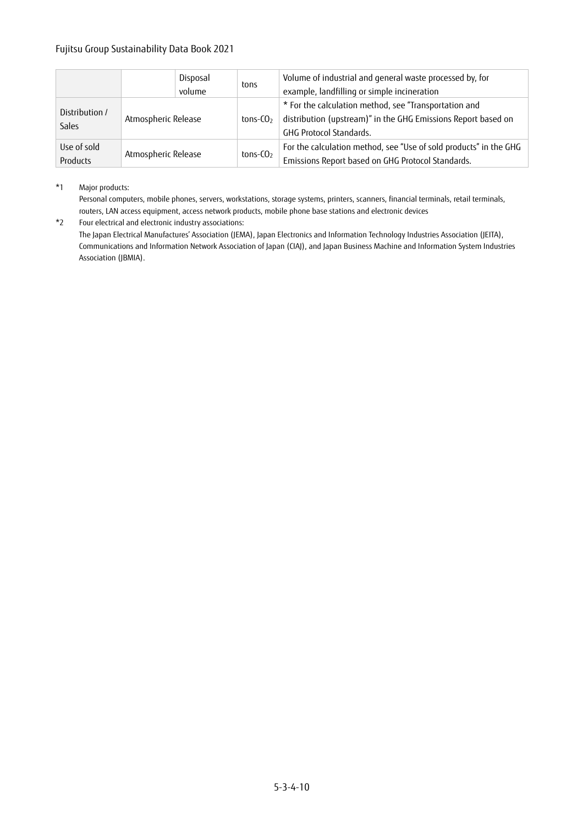|                         |                     | Disposal<br>volume | tons                 | Volume of industrial and general waste processed by, for<br>example, landfilling or simple incineration                                                  |
|-------------------------|---------------------|--------------------|----------------------|----------------------------------------------------------------------------------------------------------------------------------------------------------|
| Distribution /<br>Sales | Atmospheric Release |                    | tons-CO <sub>2</sub> | * For the calculation method, see "Transportation and<br>distribution (upstream)" in the GHG Emissions Report based on<br><b>GHG Protocol Standards.</b> |
| Use of sold<br>Products | Atmospheric Release |                    | tons- $CO2$          | For the calculation method, see "Use of sold products" in the GHG<br>Emissions Report based on GHG Protocol Standards.                                   |

#### \*1 Major products:

Personal computers, mobile phones, servers, workstations, storage systems, printers, scanners, financial terminals, retail terminals, routers, LAN access equipment, access network products, mobile phone base stations and electronic devices

\*2 Four electrical and electronic industry associations:

The Japan Electrical Manufactures' Association (JEMA), Japan Electronics and Information Technology Industries Association (JEITA), Communications and Information Network Association of Japan (CIAJ), and Japan Business Machine and Information System Industries Association (JBMIA).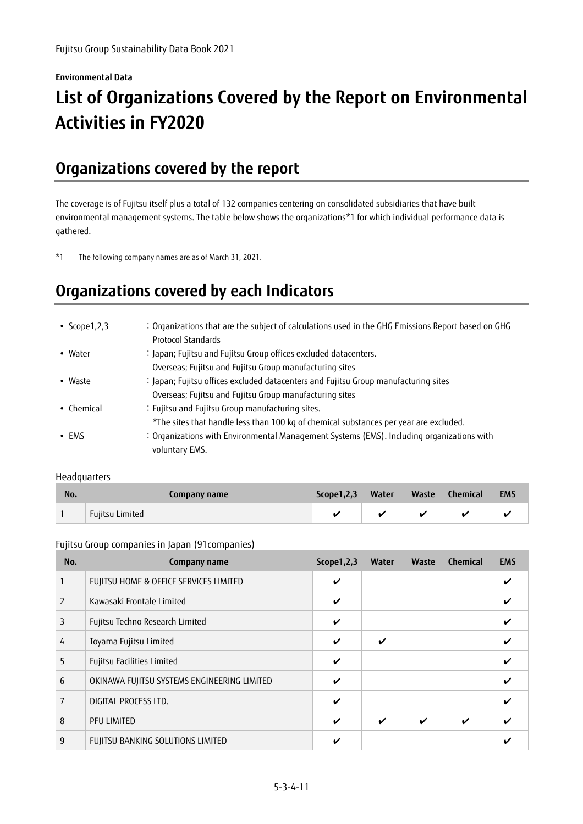## **Environmental Data List of Organizations Covered by the Report on Environmental Activities in FY2020**

## **Organizations covered by the report**

The coverage is of Fujitsu itself plus a total of 132 companies centering on consolidated subsidiaries that have built environmental management systems. The table below shows the organizations\*1 for which individual performance data is gathered.

\*1 The following company names are as of March 31, 2021.

# **Organizations covered by each Indicators**

| • Scope $1, 2, 3$  | : Organizations that are the subject of calculations used in the GHG Emissions Report based on GHG<br>Protocol Standards |
|--------------------|--------------------------------------------------------------------------------------------------------------------------|
| • Water            | : Japan; Fujitsu and Fujitsu Group offices excluded datacenters.                                                         |
|                    | Overseas; Fujitsu and Fujitsu Group manufacturing sites                                                                  |
| • Waste            | : Japan; Fujitsu offices excluded datacenters and Fujitsu Group manufacturing sites                                      |
|                    | Overseas; Fujitsu and Fujitsu Group manufacturing sites                                                                  |
| $\bullet$ Chemical | : Fujitsu and Fujitsu Group manufacturing sites.                                                                         |
|                    | *The sites that handle less than 100 kg of chemical substances per year are excluded.                                    |
| $\cdot$ EMS        | : Organizations with Environmental Management Systems (EMS). Including organizations with<br>voluntary EMS.              |

#### Headquarters

| No. | Company name    | Scope1,2,3 Water |  | Waste Chemical | <b>EMS</b> |
|-----|-----------------|------------------|--|----------------|------------|
|     | Fujitsu Limited |                  |  | $\overline{a}$ |            |

#### Fujitsu Group companies in Japan (91companies)

| No. | Company name                                | Scope $1,2,3$ | <b>Water</b> | Waste | <b>Chemical</b> | <b>EMS</b> |
|-----|---------------------------------------------|---------------|--------------|-------|-----------------|------------|
|     | FUJITSU HOME & OFFICE SERVICES LIMITED      | V             |              |       |                 |            |
| 2   | Kawasaki Frontale Limited                   | V             |              |       |                 |            |
| 3   | Fujitsu Techno Research Limited             | V             |              |       |                 | V          |
| 4   | Toyama Fujitsu Limited                      | V             | ✔            |       |                 |            |
| 5   | Fujitsu Facilities Limited                  | V             |              |       |                 |            |
| 6   | OKINAWA FUJITSU SYSTEMS ENGINEERING LIMITED | V             |              |       |                 | ✔          |
|     | DIGITAL PROCESS LTD.                        | V             |              |       |                 |            |
| 8   | PFU LIMITED                                 | V             | V            | V     | ✓               |            |
| 9   | FUJITSU BANKING SOLUTIONS LIMITED           | ✓             |              |       |                 |            |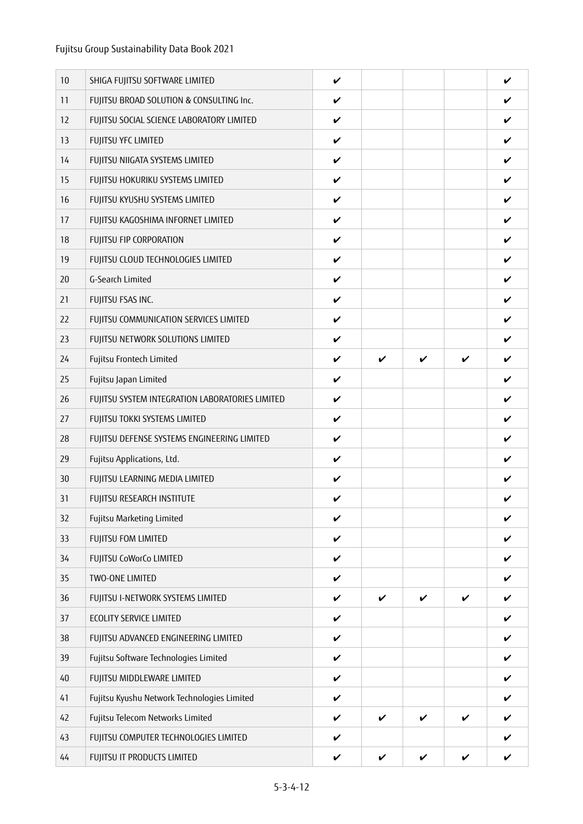| 10 | SHIGA FUJITSU SOFTWARE LIMITED                  | V                  |                    |   |                    | V |
|----|-------------------------------------------------|--------------------|--------------------|---|--------------------|---|
| 11 | FUJITSU BROAD SOLUTION & CONSULTING Inc.        | V                  |                    |   |                    | V |
| 12 | FUJITSU SOCIAL SCIENCE LABORATORY LIMITED       | $\checkmark$       |                    |   |                    | V |
| 13 | FUJITSU YFC LIMITED                             | V                  |                    |   |                    | V |
| 14 | FUJITSU NIIGATA SYSTEMS LIMITED                 | V                  |                    |   |                    |   |
| 15 | FUJITSU HOKURIKU SYSTEMS LIMITED                | V                  |                    |   |                    | V |
| 16 | FUJITSU KYUSHU SYSTEMS LIMITED                  | V                  |                    |   |                    | V |
| 17 | FUJITSU KAGOSHIMA INFORNET LIMITED              | V                  |                    |   |                    | V |
| 18 | FUJITSU FIP CORPORATION                         | V                  |                    |   |                    | V |
| 19 | FUJITSU CLOUD TECHNOLOGIES LIMITED              | V                  |                    |   |                    |   |
| 20 | G-Search Limited                                | V                  |                    |   |                    | V |
| 21 | FUJITSU FSAS INC.                               | V                  |                    |   |                    | V |
| 22 | FUJITSU COMMUNICATION SERVICES LIMITED          | V                  |                    |   |                    | V |
| 23 | FUJITSU NETWORK SOLUTIONS LIMITED               | V                  |                    |   |                    | V |
| 24 | Fujitsu Frontech Limited                        | V                  | V                  | V | V                  | V |
| 25 | Fujitsu Japan Limited                           | V                  |                    |   |                    | ✓ |
| 26 | FUJITSU SYSTEM INTEGRATION LABORATORIES LIMITED | V                  |                    |   |                    | V |
| 27 | FUJITSU TOKKI SYSTEMS LIMITED                   | V                  |                    |   |                    | V |
| 28 | FUJITSU DEFENSE SYSTEMS ENGINEERING LIMITED     | V                  |                    |   |                    | V |
| 29 | Fujitsu Applications, Ltd.                      | V                  |                    |   |                    | V |
| 30 | FUJITSU LEARNING MEDIA LIMITED                  | $\checkmark$       |                    |   |                    |   |
| 31 | FUJITSU RESEARCH INSTITUTE                      | V                  |                    |   |                    | V |
| 32 | Fujitsu Marketing Limited                       | $\boldsymbol{\nu}$ |                    |   |                    | V |
| 33 | <b>FUJITSU FOM LIMITED</b>                      | V                  |                    |   |                    | ✓ |
| 34 | FUJITSU CoWorCo LIMITED                         | V                  |                    |   |                    | V |
| 35 | TWO-ONE LIMITED                                 | $\checkmark$       |                    |   |                    | V |
| 36 | FUJITSU I-NETWORK SYSTEMS LIMITED               | $\checkmark$       | V                  | V | V                  | V |
| 37 | <b>ECOLITY SERVICE LIMITED</b>                  | $\checkmark$       |                    |   |                    | V |
| 38 | FUJITSU ADVANCED ENGINEERING LIMITED            | $\checkmark$       |                    |   |                    | V |
| 39 | Fujitsu Software Technologies Limited           | $\boldsymbol{\nu}$ |                    |   |                    | V |
| 40 | FUJITSU MIDDLEWARE LIMITED                      | $\checkmark$       |                    |   |                    | V |
| 41 | Fujitsu Kyushu Network Technologies Limited     | $\checkmark$       |                    |   |                    | V |
| 42 | Fujitsu Telecom Networks Limited                | $\checkmark$       | $\boldsymbol{\nu}$ | V | V                  | V |
| 43 | FUJITSU COMPUTER TECHNOLOGIES LIMITED           | V                  |                    |   |                    | ✓ |
| 44 | FUJITSU IT PRODUCTS LIMITED                     | $\checkmark$       | V                  | V | $\boldsymbol{\nu}$ | V |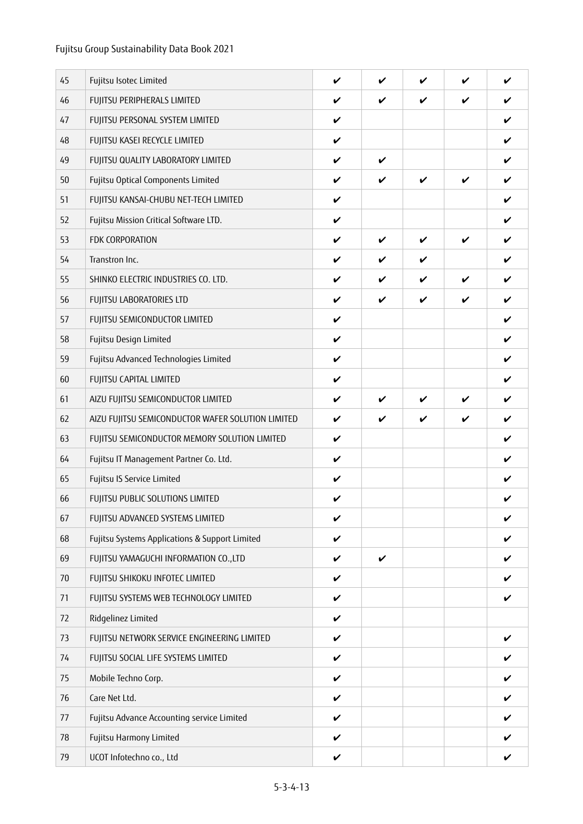| 45 | Fujitsu Isotec Limited                            | V                  | ✓                  | ✔ | V            | V                  |
|----|---------------------------------------------------|--------------------|--------------------|---|--------------|--------------------|
| 46 | FUJITSU PERIPHERALS LIMITED                       | V                  | V                  | V | V            | V                  |
| 47 | FUJITSU PERSONAL SYSTEM LIMITED                   | V                  |                    |   |              | V                  |
| 48 | FUJITSU KASEI RECYCLE LIMITED                     | V                  |                    |   |              | V                  |
| 49 | FUJITSU QUALITY LABORATORY LIMITED                | V                  | $\boldsymbol{\nu}$ |   |              | V                  |
| 50 | Fujitsu Optical Components Limited                | V                  | V                  | V | V            | V                  |
| 51 | FUJITSU KANSAI-CHUBU NET-TECH LIMITED             | V                  |                    |   |              | V                  |
| 52 | Fujitsu Mission Critical Software LTD.            | V                  |                    |   |              | V                  |
| 53 | FDK CORPORATION                                   | V                  | V                  | V | $\checkmark$ | V                  |
| 54 | Transtron Inc.                                    | V                  | V                  | V |              | V                  |
| 55 | SHINKO ELECTRIC INDUSTRIES CO. LTD.               | V                  | V                  | V | V            | V                  |
| 56 | FUJITSU LABORATORIES LTD                          | V                  | V                  | V | V            | V                  |
| 57 | FUJITSU SEMICONDUCTOR LIMITED                     | $\checkmark$       |                    |   |              | V                  |
| 58 | Fujitsu Design Limited                            | V                  |                    |   |              | V                  |
| 59 | Fujitsu Advanced Technologies Limited             | V                  |                    |   |              | V                  |
| 60 | FUJITSU CAPITAL LIMITED                           | V                  |                    |   |              | ✓                  |
| 61 | AIZU FUJITSU SEMICONDUCTOR LIMITED                | V                  | V                  | V | V            | V                  |
| 62 | AIZU FUJITSU SEMICONDUCTOR WAFER SOLUTION LIMITED | V                  | V                  | V | V            | V                  |
| 63 | FUJITSU SEMICONDUCTOR MEMORY SOLUTION LIMITED     | V                  |                    |   |              | V                  |
| 64 | Fujitsu IT Management Partner Co. Ltd.            | V                  |                    |   |              | V                  |
| 65 | Fujitsu IS Service Limited                        | V                  |                    |   |              | V                  |
| 66 | FUJITSU PUBLIC SOLUTIONS LIMITED                  | V                  |                    |   |              | V                  |
| 67 | FUJITSU ADVANCED SYSTEMS LIMITED                  | $\boldsymbol{\nu}$ |                    |   |              | $\boldsymbol{\nu}$ |
| 68 | Fujitsu Systems Applications & Support Limited    | V                  |                    |   |              | V                  |
| 69 | FUJITSU YAMAGUCHI INFORMATION CO., LTD            | V                  | $\checkmark$       |   |              | V                  |
| 70 | FUJITSU SHIKOKU INFOTEC LIMITED                   | $\checkmark$       |                    |   |              | ✓                  |
| 71 | FUJITSU SYSTEMS WEB TECHNOLOGY LIMITED            | $\checkmark$       |                    |   |              | V                  |
| 72 | Ridgelinez Limited                                | $\checkmark$       |                    |   |              |                    |
| 73 | FUJITSU NETWORK SERVICE ENGINEERING LIMITED       | $\checkmark$       |                    |   |              | V                  |
| 74 | FUJITSU SOCIAL LIFE SYSTEMS LIMITED               | V                  |                    |   |              | ✓                  |
| 75 | Mobile Techno Corp.                               | $\checkmark$       |                    |   |              | V                  |
| 76 | Care Net Ltd.                                     | $\checkmark$       |                    |   |              | V                  |
| 77 | Fujitsu Advance Accounting service Limited        | $\checkmark$       |                    |   |              | V                  |
| 78 | Fujitsu Harmony Limited                           | V                  |                    |   |              | V                  |
| 79 | UCOT Infotechno co., Ltd                          | $\checkmark$       |                    |   |              | V                  |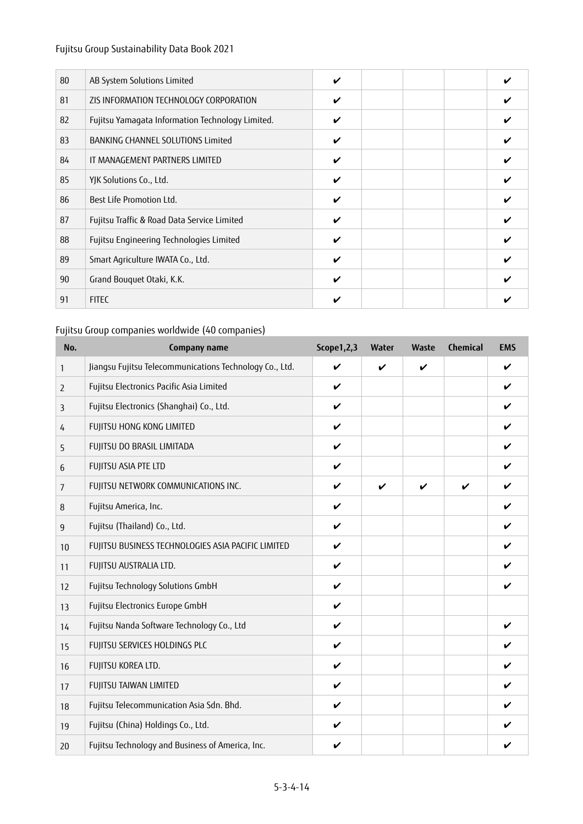| 80 | AB System Solutions Limited                      | V |  |  |
|----|--------------------------------------------------|---|--|--|
| 81 | ZIS INFORMATION TECHNOLOGY CORPORATION           | V |  |  |
| 82 | Fujitsu Yamagata Information Technology Limited. | V |  |  |
| 83 | BANKING CHANNEL SOLUTIONS Limited                | V |  |  |
| 84 | IT MANAGEMENT PARTNERS LIMITED                   | V |  |  |
| 85 | YJK Solutions Co., Ltd.                          | V |  |  |
| 86 | Best Life Promotion Ltd.                         | V |  |  |
| 87 | Fujitsu Traffic & Road Data Service Limited      | V |  |  |
| 88 | Fujitsu Engineering Technologies Limited         | V |  |  |
| 89 | Smart Agriculture IWATA Co., Ltd.                | V |  |  |
| 90 | Grand Bouquet Otaki, K.K.                        | V |  |  |
| 91 | <b>FITEC</b>                                     | ✔ |  |  |

### Fujitsu Group companies worldwide (40 companies)

| No.            | Company name                                            | Scope1,2,3         | Water | Waste | <b>Chemical</b> | <b>EMS</b>         |
|----------------|---------------------------------------------------------|--------------------|-------|-------|-----------------|--------------------|
| 1              | Jiangsu Fujitsu Telecommunications Technology Co., Ltd. | $\boldsymbol{\nu}$ | V     | V     |                 | $\boldsymbol{\nu}$ |
| $\overline{2}$ | Fujitsu Electronics Pacific Asia Limited                | V                  |       |       |                 | V                  |
| 3              | Fujitsu Electronics (Shanghai) Co., Ltd.                | V                  |       |       |                 | V                  |
| 4              | FUJITSU HONG KONG LIMITED                               | $\checkmark$       |       |       |                 | V                  |
| 5              | FUJITSU DO BRASIL LIMITADA                              | V                  |       |       |                 | V                  |
| 6              | FUJITSU ASIA PTE LTD                                    | V                  |       |       |                 | V                  |
| $\overline{7}$ | FUJITSU NETWORK COMMUNICATIONS INC.                     | V                  | V     | V     | ✓               | V                  |
| 8              | Fujitsu America, Inc.                                   | V                  |       |       |                 | V                  |
| 9              | Fujitsu (Thailand) Co., Ltd.                            | $\boldsymbol{\nu}$ |       |       |                 | V                  |
| 10             | FUJITSU BUSINESS TECHNOLOGIES ASIA PACIFIC LIMITED      | V                  |       |       |                 | V                  |
| 11             | FUJITSU AUSTRALIA LTD.                                  | V                  |       |       |                 | V                  |
| 12             | Fujitsu Technology Solutions GmbH                       | V                  |       |       |                 | V                  |
| 13             | Fujitsu Electronics Europe GmbH                         | V                  |       |       |                 |                    |
| 14             | Fujitsu Nanda Software Technology Co., Ltd              | V                  |       |       |                 | V                  |
| 15             | FUJITSU SERVICES HOLDINGS PLC                           | V                  |       |       |                 | ✔                  |
| 16             | FUJITSU KOREA LTD.                                      | $\boldsymbol{\nu}$ |       |       |                 | V                  |
| 17             | FUJITSU TAIWAN LIMITED                                  | V                  |       |       |                 | V                  |
| 18             | Fujitsu Telecommunication Asia Sdn. Bhd.                | V                  |       |       |                 | V                  |
| 19             | Fujitsu (China) Holdings Co., Ltd.                      | V                  |       |       |                 | ✔                  |
| 20             | Fujitsu Technology and Business of America, Inc.        | V                  |       |       |                 | V                  |